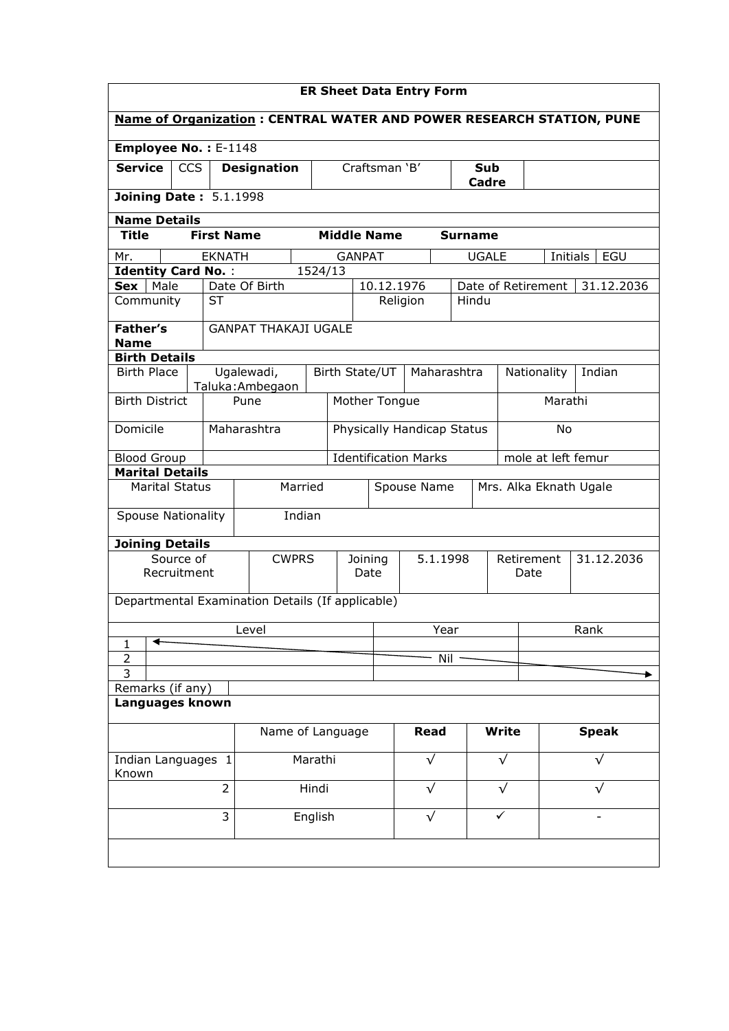| <b>ER Sheet Data Entry Form</b>                                             |                                |                    |                        |                               |                |                    |                        |              |  |  |
|-----------------------------------------------------------------------------|--------------------------------|--------------------|------------------------|-------------------------------|----------------|--------------------|------------------------|--------------|--|--|
| <b>Name of Organization: CENTRAL WATER AND POWER RESEARCH STATION, PUNE</b> |                                |                    |                        |                               |                |                    |                        |              |  |  |
| Employee No.: E-1148                                                        |                                |                    |                        |                               |                |                    |                        |              |  |  |
| <b>Service</b><br><b>CCS</b>                                                | <b>Designation</b>             |                    |                        | Craftsman 'B'<br>Sub<br>Cadre |                |                    |                        |              |  |  |
| <b>Joining Date: 5.1.1998</b>                                               |                                |                    |                        |                               |                |                    |                        |              |  |  |
| <b>Name Details</b>                                                         |                                |                    |                        |                               |                |                    |                        |              |  |  |
| <b>Title</b><br><b>First Name</b>                                           |                                | <b>Middle Name</b> |                        |                               | <b>Surname</b> |                    |                        |              |  |  |
| Mr.<br><b>EKNATH</b>                                                        |                                | <b>GANPAT</b>      |                        |                               | <b>UGALE</b>   |                    | Initials               | EGU          |  |  |
| <b>Identity Card No.:</b>                                                   |                                | 1524/13            |                        |                               |                |                    |                        |              |  |  |
| Sex<br>Male<br><b>ST</b><br>Community                                       | Date Of Birth                  |                    | 10.12.1976<br>Religion |                               | Hindu          | Date of Retirement |                        | 31.12.2036   |  |  |
|                                                                             |                                |                    |                        |                               |                |                    |                        |              |  |  |
| <b>Father's</b><br><b>Name</b>                                              | <b>GANPAT THAKAJI UGALE</b>    |                    |                        |                               |                |                    |                        |              |  |  |
| <b>Birth Details</b>                                                        |                                |                    |                        |                               |                |                    |                        |              |  |  |
| <b>Birth Place</b>                                                          | Ugalewadi,<br>Taluka: Ambegaon | Birth State/UT     |                        | Maharashtra                   |                |                    | Nationality            | Indian       |  |  |
| <b>Birth District</b>                                                       | Pune                           | Mother Tongue      |                        |                               |                |                    | Marathi                |              |  |  |
| Domicile                                                                    | Maharashtra                    |                    |                        | Physically Handicap Status    |                |                    | <b>No</b>              |              |  |  |
| <b>Blood Group</b>                                                          |                                |                    |                        | <b>Identification Marks</b>   |                |                    | mole at left femur     |              |  |  |
| <b>Marital Details</b>                                                      |                                |                    |                        |                               |                |                    |                        |              |  |  |
| <b>Marital Status</b>                                                       | Married                        |                    |                        | Spouse Name                   |                |                    | Mrs. Alka Eknath Ugale |              |  |  |
| <b>Spouse Nationality</b>                                                   | Indian                         |                    |                        |                               |                |                    |                        |              |  |  |
| <b>Joining Details</b><br>Source of                                         | <b>CWPRS</b>                   | Joining            |                        | 5.1.1998                      |                |                    |                        | 31.12.2036   |  |  |
| Recruitment                                                                 |                                | Date               |                        |                               |                |                    | Retirement<br>Date     |              |  |  |
| Departmental Examination Details (If applicable)                            |                                |                    |                        |                               |                |                    |                        |              |  |  |
| 1                                                                           | Level                          |                    |                        | Year                          |                |                    |                        | Rank         |  |  |
| $\overline{2}$                                                              |                                |                    |                        | Nil                           |                |                    |                        |              |  |  |
| $\overline{3}$                                                              |                                |                    |                        |                               |                |                    |                        |              |  |  |
| Remarks (if any)<br>Languages known                                         |                                |                    |                        |                               |                |                    |                        |              |  |  |
|                                                                             | Name of Language               |                    |                        | Read                          |                | Write              |                        | <b>Speak</b> |  |  |
| Indian Languages 1                                                          | Marathi                        |                    |                        | $\sqrt{}$                     |                | $\sqrt{}$          |                        | $\sqrt{}$    |  |  |
| Known<br>$\overline{2}$                                                     | Hindi                          |                    |                        | $\sqrt{}$                     |                | √                  |                        |              |  |  |
| 3                                                                           | English                        |                    |                        | $\sqrt{}$                     |                | ✓                  |                        |              |  |  |
|                                                                             |                                |                    |                        |                               |                |                    |                        |              |  |  |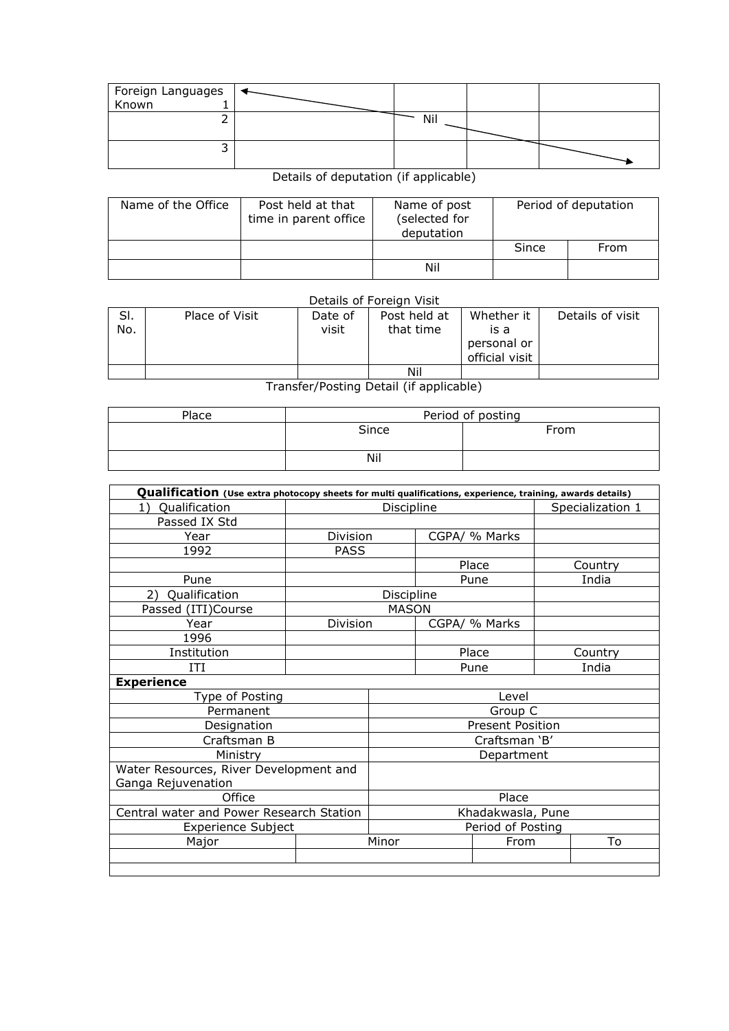| Foreign Languages | $\overline{\phantom{a}}$ |     |  |
|-------------------|--------------------------|-----|--|
| Known             |                          |     |  |
|                   |                          | Nil |  |
|                   |                          |     |  |

## Details of deputation (if applicable)

| Name of the Office | Post held at that<br>time in parent office | Name of post<br>(selected for<br>deputation |       | Period of deputation |
|--------------------|--------------------------------------------|---------------------------------------------|-------|----------------------|
|                    |                                            |                                             | Since | From                 |
|                    |                                            | Nil                                         |       |                      |

Details of Foreign Visit

| SI.<br>No. | Place of Visit | Date of<br>visit | Post held at<br>that time | Whether it<br>is a<br>personal or<br>official visit | Details of visit |
|------------|----------------|------------------|---------------------------|-----------------------------------------------------|------------------|
|            |                |                  | Nil                       |                                                     |                  |

## Transfer/Posting Detail (if applicable)

| Place | Period of posting |      |  |  |  |  |  |
|-------|-------------------|------|--|--|--|--|--|
|       | Since             | From |  |  |  |  |  |
|       | Nil               |      |  |  |  |  |  |

| Qualification (Use extra photocopy sheets for multi qualifications, experience, training, awards details) |                   |               |                                |                         |         |         |  |  |  |
|-----------------------------------------------------------------------------------------------------------|-------------------|---------------|--------------------------------|-------------------------|---------|---------|--|--|--|
| Qualification<br>1)                                                                                       |                   |               | Discipline<br>Specialization 1 |                         |         |         |  |  |  |
| Passed IX Std                                                                                             |                   |               |                                |                         |         |         |  |  |  |
| Year                                                                                                      | Division          |               |                                | CGPA/ % Marks           |         |         |  |  |  |
| 1992                                                                                                      | <b>PASS</b>       |               |                                |                         |         |         |  |  |  |
|                                                                                                           |                   |               | Place                          |                         |         | Country |  |  |  |
| Pune                                                                                                      |                   |               |                                | Pune                    |         | India   |  |  |  |
| Qualification<br>2)                                                                                       |                   | Discipline    |                                |                         |         |         |  |  |  |
| Passed (ITI)Course                                                                                        |                   | <b>MASON</b>  |                                |                         |         |         |  |  |  |
| Year                                                                                                      | Division          |               |                                | CGPA/ % Marks           |         |         |  |  |  |
| 1996                                                                                                      |                   |               |                                |                         |         |         |  |  |  |
| Institution                                                                                               | Place             |               |                                |                         | Country |         |  |  |  |
| ITI                                                                                                       | Pune              |               |                                |                         | India   |         |  |  |  |
| <b>Experience</b>                                                                                         |                   |               |                                |                         |         |         |  |  |  |
| Type of Posting                                                                                           |                   |               |                                | Level                   |         |         |  |  |  |
| Permanent                                                                                                 |                   |               |                                | Group C                 |         |         |  |  |  |
| Designation                                                                                               |                   |               |                                | <b>Present Position</b> |         |         |  |  |  |
| Craftsman B                                                                                               |                   | Craftsman 'B' |                                |                         |         |         |  |  |  |
| Ministry                                                                                                  |                   | Department    |                                |                         |         |         |  |  |  |
| Water Resources, River Development and                                                                    |                   |               |                                |                         |         |         |  |  |  |
| Ganga Rejuvenation                                                                                        |                   |               |                                |                         |         |         |  |  |  |
| Office                                                                                                    | Place             |               |                                |                         |         |         |  |  |  |
| Central water and Power Research Station                                                                  | Khadakwasla, Pune |               |                                |                         |         |         |  |  |  |
| <b>Experience Subject</b>                                                                                 | Period of Posting |               |                                |                         |         |         |  |  |  |
| Major                                                                                                     |                   | Minor         |                                | From                    |         | To      |  |  |  |
|                                                                                                           |                   |               |                                |                         |         |         |  |  |  |
|                                                                                                           |                   |               |                                |                         |         |         |  |  |  |